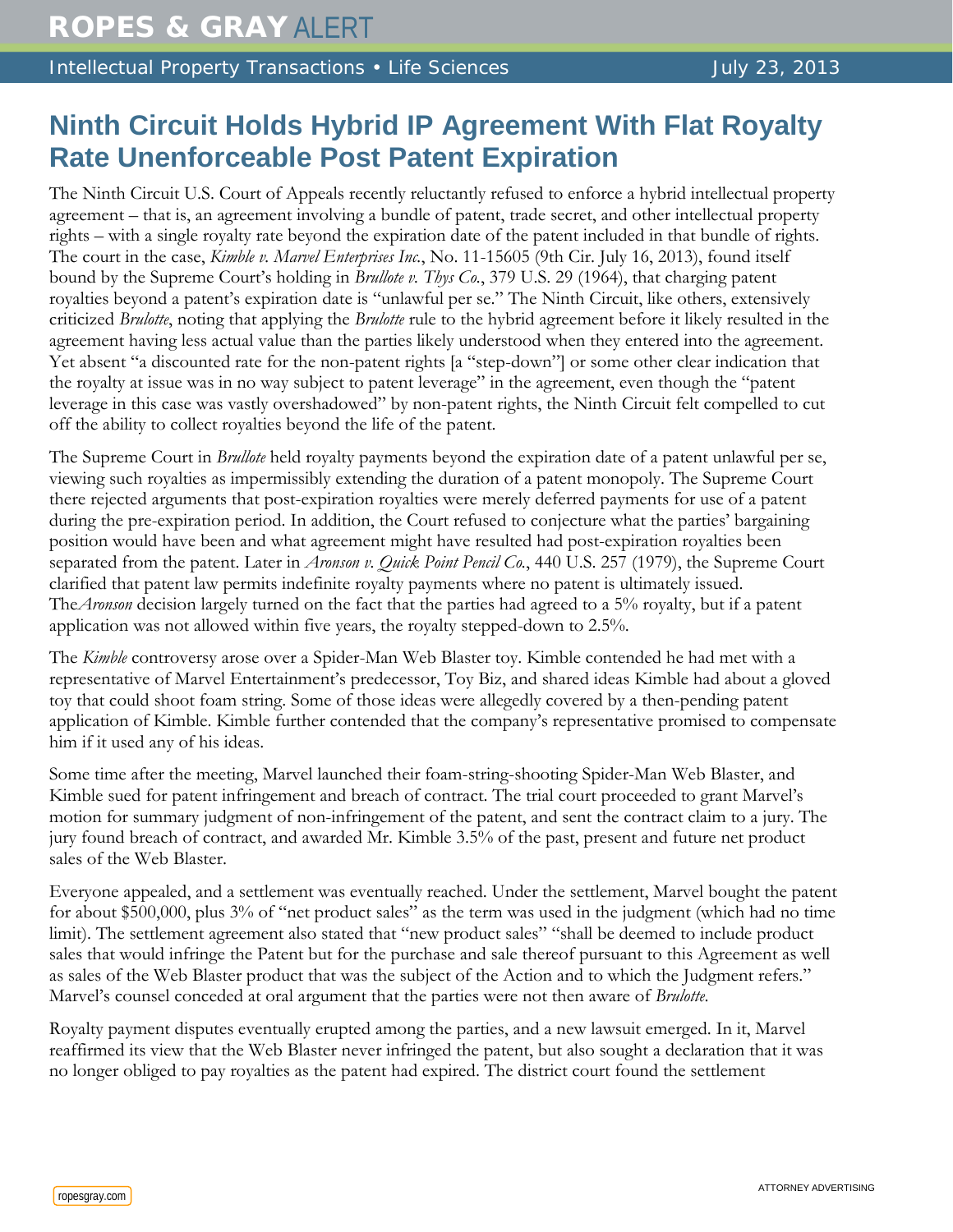Intellectual Property Transactions • Life Sciences July 23, 2013

## **Ninth Circuit Holds Hybrid IP Agreement With Flat Royalty Rate Unenforceable Post Patent Expiration**

The Ninth Circuit U.S. Court of Appeals recently reluctantly refused to enforce a hybrid intellectual property agreement – that is, an agreement involving a bundle of patent, trade secret, and other intellectual property rights – with a single royalty rate beyond the expiration date of the patent included in that bundle of rights. The court in the case, *Kimble v. Marvel Enterprises Inc.*, No. 11-15605 (9th Cir. July 16, 2013), found itself bound by the Supreme Court's holding in *Brullote v. Thys Co.*, 379 U.S. 29 (1964), that charging patent royalties beyond a patent's expiration date is "unlawful per se." The Ninth Circuit, like others, extensively criticized *Brulotte*, noting that applying the *Brulotte* rule to the hybrid agreement before it likely resulted in the agreement having less actual value than the parties likely understood when they entered into the agreement. Yet absent "a discounted rate for the non-patent rights [a "step-down"] or some other clear indication that the royalty at issue was in no way subject to patent leverage" in the agreement, even though the "patent leverage in this case was vastly overshadowed" by non-patent rights, the Ninth Circuit felt compelled to cut off the ability to collect royalties beyond the life of the patent.

The Supreme Court in *Brullote* held royalty payments beyond the expiration date of a patent unlawful per se, viewing such royalties as impermissibly extending the duration of a patent monopoly. The Supreme Court there rejected arguments that post-expiration royalties were merely deferred payments for use of a patent during the pre-expiration period. In addition, the Court refused to conjecture what the parties' bargaining position would have been and what agreement might have resulted had post-expiration royalties been separated from the patent. Later in *Aronson v. Quick Point Pencil Co.*, 440 U.S. 257 (1979), the Supreme Court clarified that patent law permits indefinite royalty payments where no patent is ultimately issued. The*Aronson* decision largely turned on the fact that the parties had agreed to a 5% royalty, but if a patent application was not allowed within five years, the royalty stepped-down to 2.5%.

The *Kimble* controversy arose over a Spider-Man Web Blaster toy. Kimble contended he had met with a representative of Marvel Entertainment's predecessor, Toy Biz, and shared ideas Kimble had about a gloved toy that could shoot foam string. Some of those ideas were allegedly covered by a then-pending patent application of Kimble. Kimble further contended that the company's representative promised to compensate him if it used any of his ideas.

Some time after the meeting, Marvel launched their foam-string-shooting Spider-Man Web Blaster, and Kimble sued for patent infringement and breach of contract. The trial court proceeded to grant Marvel's motion for summary judgment of non-infringement of the patent, and sent the contract claim to a jury. The jury found breach of contract, and awarded Mr. Kimble 3.5% of the past, present and future net product sales of the Web Blaster.

Everyone appealed, and a settlement was eventually reached. Under the settlement, Marvel bought the patent for about \$500,000, plus 3% of "net product sales" as the term was used in the judgment (which had no time limit). The settlement agreement also stated that "new product sales" "shall be deemed to include product sales that would infringe the Patent but for the purchase and sale thereof pursuant to this Agreement as well as sales of the Web Blaster product that was the subject of the Action and to which the Judgment refers." Marvel's counsel conceded at oral argument that the parties were not then aware of *Brulotte*.

Royalty payment disputes eventually erupted among the parties, and a new lawsuit emerged. In it, Marvel reaffirmed its view that the Web Blaster never infringed the patent, but also sought a declaration that it was no longer obliged to pay royalties as the patent had expired. The district court found the settlement